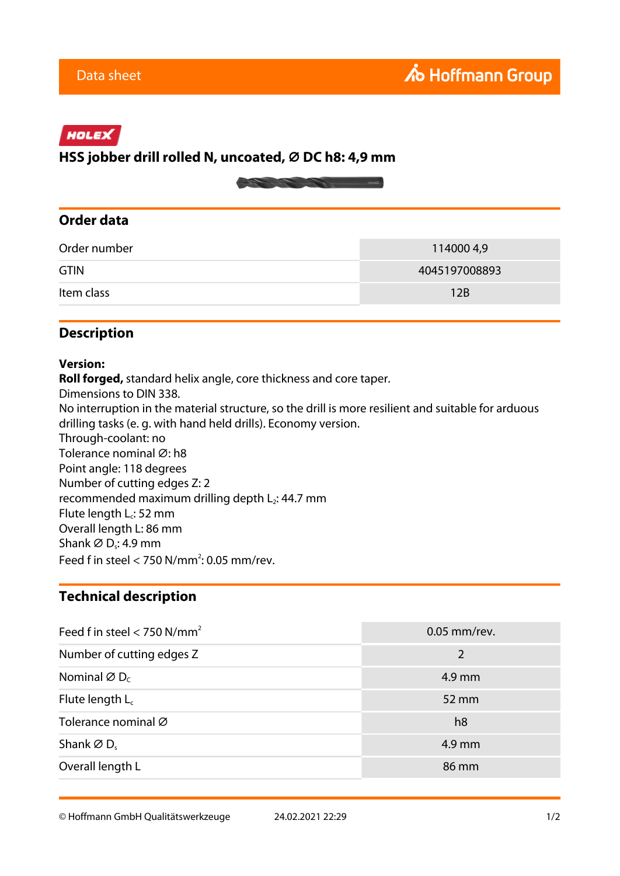# HOLEX

# **HSS jobber drill rolled N, uncoated, ⌀ DC h8: 4,9 mm**



#### **Order data**

| Order number | 114000 4,9    |
|--------------|---------------|
| <b>GTIN</b>  | 4045197008893 |
| Item class   | 12B           |

### **Description**

#### **Version:**

**Roll forged,** standard helix angle, core thickness and core taper. Dimensions to DIN 338. No interruption in the material structure, so the drill is more resilient and suitable for arduous drilling tasks (e. g. with hand held drills). Economy version. Through-coolant: no Tolerance nominal Ø: h8 Point angle: 118 degrees Number of cutting edges Z: 2 recommended maximum drilling depth  $L_2$ : 44.7 mm Flute length  $L_c$ : 52 mm Overall length L: 86 mm Shank  $\varnothing$  D<sub>s</sub>: 4.9 mm Feed f in steel  $<$  750 N/mm<sup>2</sup>: 0.05 mm/rev.

#### **Technical description**

| Feed f in steel < 750 N/mm <sup>2</sup> | $0.05$ mm/rev. |
|-----------------------------------------|----------------|
| Number of cutting edges Z               | 2              |
| Nominal $\varnothing$ D <sub>c</sub>    | 4.9 mm         |
| Flute length $L_c$                      | 52 mm          |
| Tolerance nominal Ø                     | h8             |
| Shank $\varnothing$ D.                  | 4.9 mm         |
| Overall length L                        | 86 mm          |